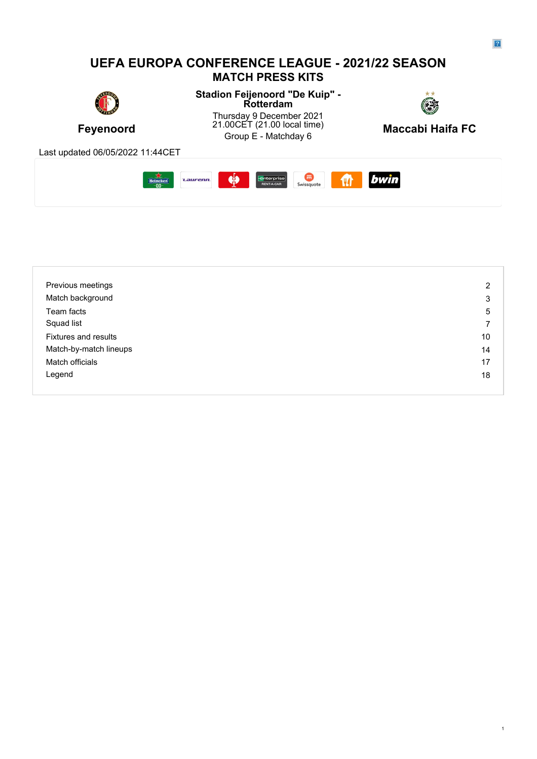#### **UEFA EUROPA CONFERENCE LEAGUE - 2021/22 SEASON MATCH PRESS KITS Stadion Feijenoord "De Kuip" - Rotterdam** Thursday 9 December 2021 21.00CET (21.00 local time) **Feyenoord** 21.00CET (21.00 local time) **Maccabi Haifa FC**<br>Group E - Matchday 6 Group E - Matchday 6 **Maccabi Haifa FC** Last updated 06/05/2022 11:44CET bwin  $\frac{1}{2}$ **Enterprise**<br>RENT-A-CAR **CONTROL**<br>Swissquote Heineken *Laurenn*  $\mathbf{m}$

| Previous meetings           | 2  |
|-----------------------------|----|
| Match background            | 3  |
| Team facts                  | 5  |
| Squad list                  | 7  |
| <b>Fixtures and results</b> | 10 |
| Match-by-match lineups      | 14 |
| Match officials             | 17 |
| Legend                      | 18 |
|                             |    |

1

 $\overline{2}$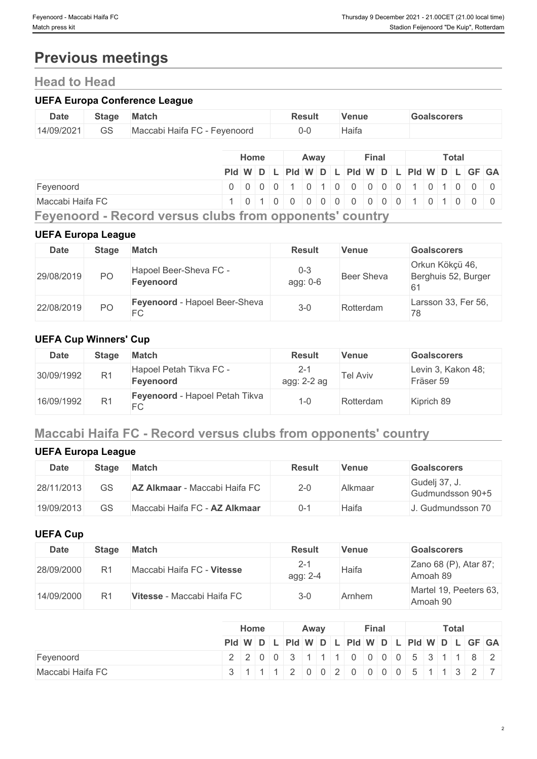# **Previous meetings**

# **Head to Head**

#### **UEFA Europa Conference League**

| <b>Date</b> | Stage | Match                        | Result | <b>Venue</b> | <b>Goalscorers</b> |
|-------------|-------|------------------------------|--------|--------------|--------------------|
| 14/09/2021  | GS    | Maccabi Haifa FC - Feyenoord | ()-l   | Haifa        |                    |

|                                                              |                                               | <b>Home</b> |                                       | Away |  | Final |  |  | Total |  |  |
|--------------------------------------------------------------|-----------------------------------------------|-------------|---------------------------------------|------|--|-------|--|--|-------|--|--|
|                                                              | Pid W D L Pid W D L Pid W D L Pid W D L GF GA |             |                                       |      |  |       |  |  |       |  |  |
| Feyenoord                                                    | 0 0 0 0 0 1 0 1 0 0 0 0 0 0 1 0 1 0 0 0 0     |             |                                       |      |  |       |  |  |       |  |  |
| Maccabi Haifa FC                                             |                                               |             | 1 0 1 0 0 0 0 0 0 0 0 0 0 1 0 1 0 0 0 |      |  |       |  |  |       |  |  |
| Fairenzand - Baasud ireneita alika fuene annouantel aaintur- |                                               |             |                                       |      |  |       |  |  |       |  |  |

**Feyenoord - Record versus clubs from opponents' country**

#### **UEFA Europa League**

| <b>Date</b> | Stage          | <b>Match</b>                        | <b>Result</b>       | <b>Venue</b>      | <b>Goalscorers</b>                          |
|-------------|----------------|-------------------------------------|---------------------|-------------------|---------------------------------------------|
| 29/08/2019  | PO             | Hapoel Beer-Sheva FC -<br>Feyenoord | $0 - 3$<br>agg: 0-6 | <b>Beer Sheva</b> | Orkun Kökçü 46,<br>Berghuis 52, Burger<br>6 |
| 22/08/2019  | P <sub>O</sub> | Feyenoord - Hapoel Beer-Sheva<br>FC | $3 - 0$             | Rotterdam         | Larsson 33, Fer 56,<br>78                   |

### **UEFA Cup Winners' Cup**

| <b>Date</b> | Stage          | Match                                                           | <b>Result</b>      | <b>Venue</b> | <b>Goalscorers</b>              |
|-------------|----------------|-----------------------------------------------------------------|--------------------|--------------|---------------------------------|
| 30/09/1992  | R <sub>1</sub> | Hapoel Petah Tikva FC -<br>Feyenoord                            | Z-7<br>agg: 2-2 ag | Tel Aviv     | Levin 3, Kakon 48;<br>Fräser 59 |
| 16/09/1992  | R <sub>1</sub> | Feyenoord - Hapoel Petah Tikva<br>$\overline{\phantom{a}}$<br>◡ | i -0               | Rotterdam    | Kiprich 89                      |

# **Maccabi Haifa FC - Record versus clubs from opponents' country**

## **UEFA Europa League**

| <b>Date</b> | Stage | <b>Match</b>                         | <b>Result</b> | Venue   | <b>Goalscorers</b>                |
|-------------|-------|--------------------------------------|---------------|---------|-----------------------------------|
| 28/11/2013  | GS    | <b>AZ Alkmaar</b> - Maccabi Haifa FC | $2 - 0$       | Alkmaar | Gudelj 37, J.<br>Gudmundsson 90+5 |
| 19/09/2013  | GS    | Maccabi Haifa FC - AZ Alkmaar        | $0 - 1$       | Haifa   | . Gudmundsson 70                  |

#### **UEFA Cup**

| <b>Date</b> | <b>Stage</b>   | <b>Match</b>               | <b>Result</b>       | <b>Venue</b> | <b>Goalscorers</b>                 |
|-------------|----------------|----------------------------|---------------------|--------------|------------------------------------|
| 28/09/2000  | R <sub>1</sub> | Maccabi Haifa FC - Vitesse | $2 - 1$<br>agg: 2-4 | Haifa        | Zano 68 (P), Atar 87;<br>Amoah 89  |
| 14/09/2000  | R <sub>1</sub> | Vitesse - Maccabi Haifa FC | $3 - 0$             | Arnhem       | Martel 19, Peeters 63,<br>Amoah 90 |

|                  | Home | Away | Final | <b>Total</b>                                  |
|------------------|------|------|-------|-----------------------------------------------|
|                  |      |      |       | PId W D L PId W D L PId W D L PId W D L GF GA |
| Feyenoord        |      |      |       | $2200031111000005311182$                      |
| Maccabi Haifa FC |      |      |       | 3 1 1 1 2 0 0 2 0 0 0 0 0 5 1 1 3 2 7         |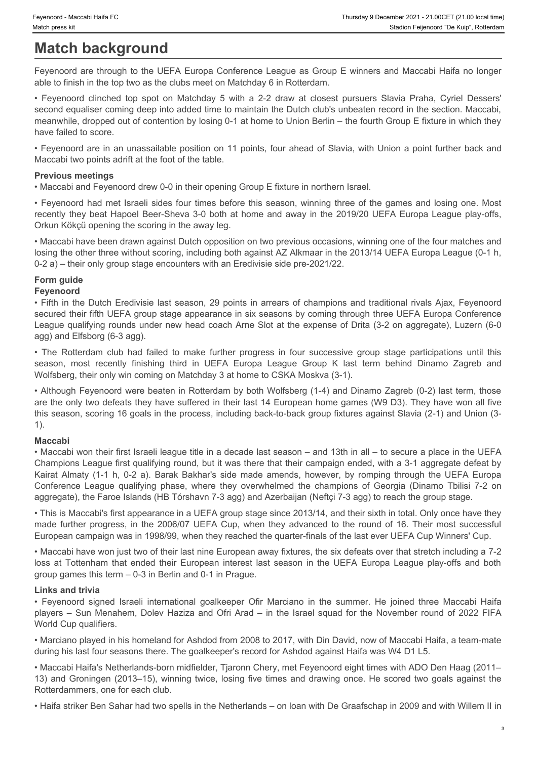# **Match background**

Feyenoord are through to the UEFA Europa Conference League as Group E winners and Maccabi Haifa no longer able to finish in the top two as the clubs meet on Matchday 6 in Rotterdam.

Feyenoord Maccabi Haifa FC<br> **Match background**<br> **Match background**<br> **FEYENCAY COMPLEVE COMPLAY STAND STAND STAND STAND STAND STAND STAND STAND STAND STAND SPOND TO A 2-2 draw at closest pursuers Slavia Praha, Cyriel Desser** second equaliser coming deep into added time to maintain the Dutch club's unbeaten record in the section. Maccabi, meanwhile, dropped out of contention by losing 0-1 at home to Union Berlin – the fourth Group E fixture in which they have failed to score.

• Feyenoord are in an unassailable position on 11 points, four ahead of Slavia, with Union a point further back and Maccabi two points adrift at the foot of the table.

#### **Previous meetings**

• Maccabi and Feyenoord drew 0-0 in their opening Group E fixture in northern Israel.

• Feyenoord had met Israeli sides four times before this season, winning three of the games and losing one. Most recently they beat Hapoel Beer-Sheva 3-0 both at home and away in the 2019/20 UEFA Europa League play-offs, Orkun Kökçü opening the scoring in the away leg.

• Maccabi have been drawn against Dutch opposition on two previous occasions, winning one of the four matches and losing the other three without scoring, including both against AZ Alkmaar in the 2013/14 UEFA Europa League (0-1 h, 0-2 a) – their only group stage encounters with an Eredivisie side pre-2021/22.

#### **Form guide**

#### **Feyenoord**

• Fifth in the Dutch Eredivisie last season, 29 points in arrears of champions and traditional rivals Ajax, Feyenoord secured their fifth UEFA group stage appearance in six seasons by coming through three UEFA Europa Conference League qualifying rounds under new head coach Arne Slot at the expense of Drita (3-2 on aggregate), Luzern (6-0 agg) and Elfsborg (6-3 agg).

Wolfsberg, their only win coming on Matchday 3 at home to CSKA Moskva (3-1).

• The Rotterdam club had failed to make further progress in four successive group Shariforness in The Rotterdam club had failed to make further the Department of the Section of Figure and Meccabi Harfa in Orongente to fini seember stecene telesce telesce telesce telesce comparisons in the mass of the mass of the mass response to the mass represent to the mass represent to the UEFA Europa Conference League as Group E winners and Maccabi Harfa • Although Feyenoord were beaten in Rotterdam by both Wolfsberg (1-4) and Dinamo Zagreb (0-2) last term, those are the only two defeats they have suffered in their last 14 European home games (W9 D3). They have won all five this season, scoring 16 goals in the process, including back-to-back group fixtures against Slavia (2-1) and Union (3- 1).

#### **Maccabi**

• Maccabi won their first Israeli league title in a decade last season – and 13th in all – to secure a place in the UEFA Champions League first qualifying round, but it was there that their campaign ended, with a 3-1 aggregate defeat by **Match background Match background C** represents the summation of the second amends of the second amends and the second amends and the second amends and the second amends and the second amends are represented to the se **Match DBCK ground Internal technology and the change and Coup E winners and Macch is the champion of the champion is the champion of the champion of the champion of the champion is the champion of the champion of the cham** aggregate), the Faroe Islands (HB Tórshavn 7-3 agg) and Azerbaijan (Neftçi 7-3 agg) to reach the group stage. leve telleties at the telleties at the telleties at the telleties at the telleties at the telleties at the telleties at the telleties at the telleties and the telleties and the telleties and the UEFA Europa League play-off **Ahochi and the summer international goals are the summer internal goal comparison international goalkeeper of the summer international goalkeeper of the summer international goalkeeper of the summer. Frequencies and test** 

• This is Maccabi's first appearance in a UEFA group stage since 2013/14, and their sixth in total. Only once have they made further progress, in the 2006/07 UEFA Cup, when they advanced to the round of 16. Their most successful European campaign was in 1998/99, when they reached the quarter-finals of the last ever UEFA Cup Winners' Cup.

• Maccabi have won just two of their last nine European away fixtures, the six defeats over that stretch including a 7-2 group games this term – 0-3 in Berlin and 0-1 in Prague.

#### **Links and trivia**

players – Sun Menahem, Dolev Haziza and Ofri Arad – in the Israel squad for the November round of 2022 FIFA World Cup qualifiers.

• Marciano played in his homeland for Ashdod from 2008 to 2017, with Din David, now of Maccabi Haifa, a team-mate during his last four seasons there. The goalkeeper's record for Ashdod against Haifa was W4 D1 L5.

• Maccabi Haifa's Netherlands-born midfielder, Tiaronn Chery, met Feyenoord eight times with ADO Den Haag (2011– 13) and Groningen (2013–15), winning twice, losing five times and drawing once. He scored two goals against the Rotterdammers, one for each club.

• Haifa striker Ben Sahar had two spells in the Netherlands – on loan with De Graafschap in 2009 and with Willem II in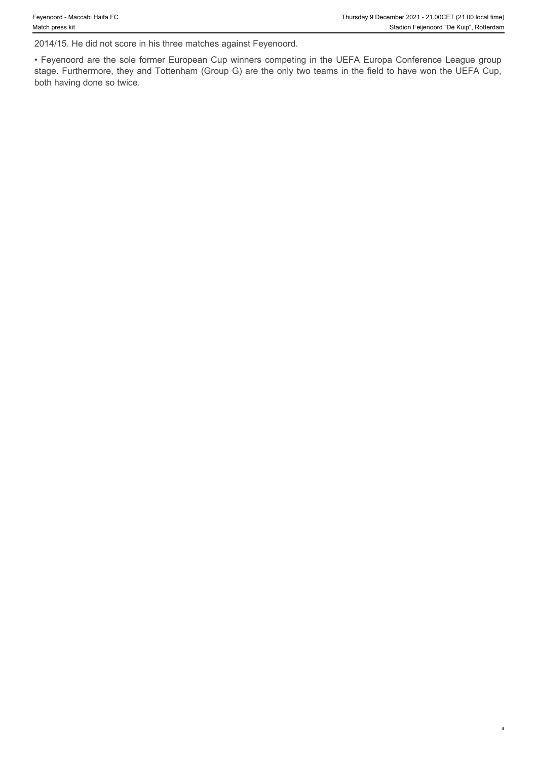2014/15. He did not score in his three matches against Feyenoord.

• Feyenoord are the sole former European Cup winners competing in the UEFA Europa Conference League group stage. Furthermore, they and Tottenham (Group G) are the only two teams in the field to have won the UEFA Cup, both having done so twice.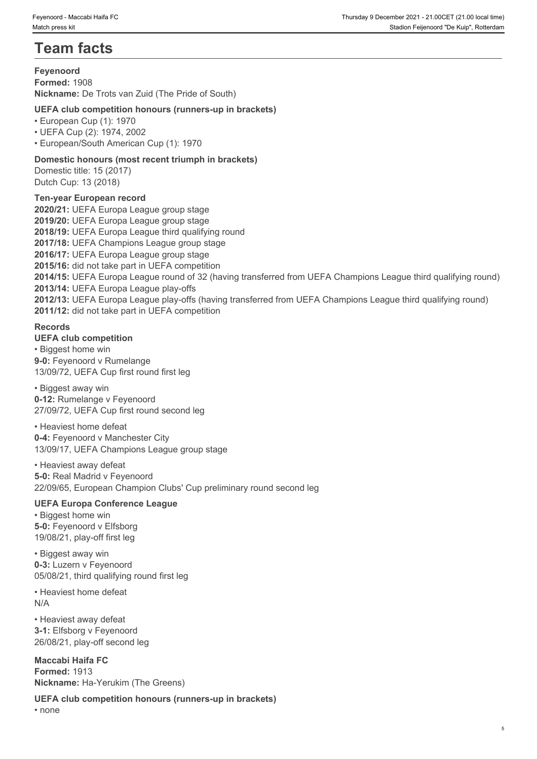# **Team facts**

#### **Feyenoord**

**Formed:** 1908 **Nickname:** De Trots van Zuid (The Pride of South)

#### **UEFA club competition honours (runners-up in brackets)**

• European Cup (1): 1970

• UEFA Cup (2): 1974, 2002

• European/South American Cup (1): 1970

#### **Domestic honours (most recent triumph in brackets)**

Domestic title: 15 (2017) Dutch Cup: 13 (2018)

#### **Ten-year European record**

**2020/21:** UEFA Europa League group stage **2019/20:** UEFA Europa League group stage **2018/19:** UEFA Europa League third qualifying round **2017/18:** UEFA Champions League group stage **2016/17:** UEFA Europa League group stage **2015/16:** did not take part in UEFA competition **2014/15:** UEFA Europa League round of 32 (having transferred from UEFA Champions League third qualifying round) **2013/14:** UEFA Europa League play-offs **2012/13:** UEFA Europa League play-offs (having transferred from UEFA Champions League third qualifying round) **2011/12:** did not take part in UEFA competition

#### **Records**

**UEFA club competition**

• Biggest home win **9-0:** Feyenoord v Rumelange 13/09/72, UEFA Cup first round first leg

#### • Biggest away win

**0-12:** Rumelange v Feyenoord 27/09/72, UEFA Cup first round second leg

• Heaviest home defeat **0-4:** Feyenoord v Manchester City 13/09/17, UEFA Champions League group stage

### • Heaviest away defeat

**5-0:** Real Madrid v Feyenoord 22/09/65, European Champion Clubs' Cup preliminary round second leg

#### **UEFA Europa Conference League**

• Biggest home win **5-0:** Feyenoord v Elfsborg 19/08/21, play-off first leg

• Biggest away win **0-3:** Luzern v Feyenoord 05/08/21, third qualifying round first leg

• Heaviest home defeat N/A

• Heaviest away defeat **3-1:** Elfsborg v Feyenoord 26/08/21, play-off second leg

**Maccabi Haifa FC Formed:** 1913 **Nickname:** Ha-Yerukim (The Greens)

**UEFA club competition honours (runners-up in brackets)** • none **black** and **black** and **black** and **black** and **black** and **black** and **black** and **black** and **black** and **black** and **black** and **black** and **black** and **black** and **black** and **black** and **black** and **black** and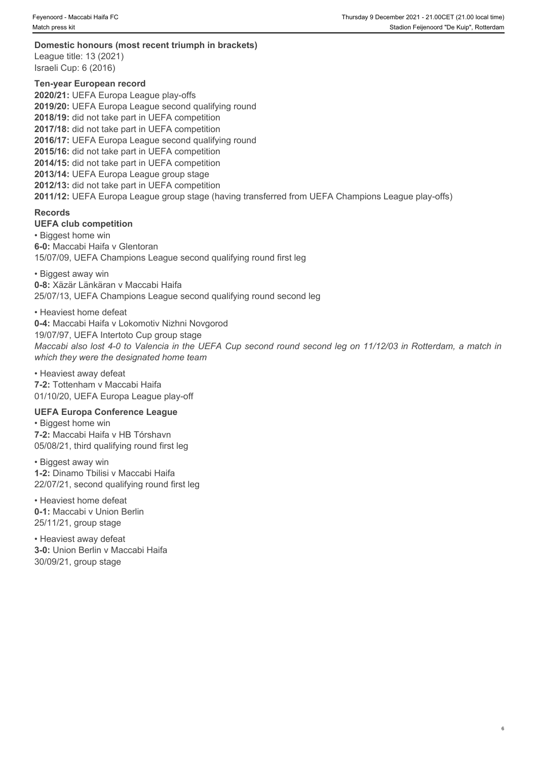**Domestic honours (most recent triumph in brackets)** League title: 13 (2021) Israeli Cup: 6 (2016)

**Ten-year European record 2020/21:** UEFA Europa League play-offs **2019/20:** UEFA Europa League second qualifying round **2018/19:** did not take part in UEFA competition **2017/18:** did not take part in UEFA competition **2016/17:** UEFA Europa League second qualifying round **2015/16:** did not take part in UEFA competition **2014/15:** did not take part in UEFA competition **2013/14:** UEFA Europa League group stage **2012/13:** did not take part in UEFA competition **2011/12:** UEFA Europa League group stage (having transferred from UEFA Champions League play-offs)

#### **Records**

#### **UEFA club competition**

• Biggest home win **6-0:** Maccabi Haifa v Glentoran 15/07/09, UEFA Champions League second qualifying round first leg

• Biggest away win **0-8:** Xäzär Länkäran v Maccabi Haifa 25/07/13, UEFA Champions League second qualifying round second leg

• Heaviest home defeat **0-4:** Maccabi Haifa v Lokomotiv Nizhni Novgorod 19/07/97, UEFA Intertoto Cup group stage *Maccabi also lost 4-0 to Valencia in the UEFA Cup second round second leg on 11/12/03 in Rotterdam, a match in which they were the designated home team*

• Heaviest away defeat **7-2:** Tottenham v Maccabi Haifa 01/10/20, UEFA Europa League play-off

#### **UEFA Europa Conference League**

• Biggest home win **7-2:** Maccabi Haifa v HB Tórshavn 05/08/21, third qualifying round first leg

• Biggest away win **1-2:** Dinamo Tbilisi v Maccabi Haifa 22/07/21, second qualifying round first leg

• Heaviest home defeat **0-1:** Maccabi v Union Berlin 25/11/21, group stage

• Heaviest away defeat **3-0:** Union Berlin v Maccabi Haifa 30/09/21, group stage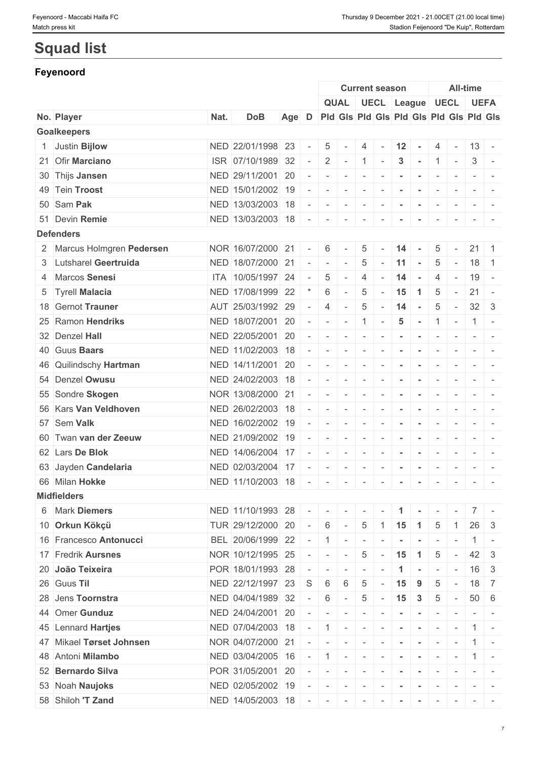# **Squad list**

## **Feyenoord**

|                            |      |                   |     |                          |                                                                                                                                                                                                                                                                                                                                                                                                                                                |                          |                          | <b>Current season</b>    |                      |                                         |                          |                          | <b>All-time</b>          |                                                                                                                           |  |
|----------------------------|------|-------------------|-----|--------------------------|------------------------------------------------------------------------------------------------------------------------------------------------------------------------------------------------------------------------------------------------------------------------------------------------------------------------------------------------------------------------------------------------------------------------------------------------|--------------------------|--------------------------|--------------------------|----------------------|-----------------------------------------|--------------------------|--------------------------|--------------------------|---------------------------------------------------------------------------------------------------------------------------|--|
|                            |      |                   |     |                          |                                                                                                                                                                                                                                                                                                                                                                                                                                                | <b>QUAL</b>              |                          |                          |                      | UECL League UECL UEFA                   |                          |                          |                          |                                                                                                                           |  |
| No. Player                 | Nat. | <b>DoB</b>        | Age | D                        |                                                                                                                                                                                                                                                                                                                                                                                                                                                |                          |                          |                          |                      | Pid Gis Pid Gis Pid Gis Pid Gis Pid Gis |                          |                          |                          |                                                                                                                           |  |
| <b>Goalkeepers</b>         |      |                   |     |                          |                                                                                                                                                                                                                                                                                                                                                                                                                                                |                          |                          |                          |                      |                                         |                          |                          |                          |                                                                                                                           |  |
| 1 Justin Bijlow            |      | NED 22/01/1998 23 |     |                          | 5                                                                                                                                                                                                                                                                                                                                                                                                                                              |                          | 4                        |                          | 12                   | $\sim$                                  | 4                        | $\overline{\phantom{a}}$ |                          | $13 -$                                                                                                                    |  |
| 21 Ofir Marciano           |      | ISR 07/10/1989 32 |     | $\overline{\phantom{a}}$ | 2                                                                                                                                                                                                                                                                                                                                                                                                                                              | $\sim$                   | $-1$                     | $\sim$                   | $\mathbf{3}$         | $\sim$                                  | 1                        | $\sim$                   | 3                        | $\sim$                                                                                                                    |  |
| 30 Thijs Jansen            |      | NED 29/11/2001 20 |     |                          | $\overline{\phantom{a}}$                                                                                                                                                                                                                                                                                                                                                                                                                       |                          | $\overline{\phantom{a}}$ |                          |                      |                                         |                          |                          |                          |                                                                                                                           |  |
| 49 Tein Troost             |      | NED 15/01/2002 19 |     |                          | $ \,$                                                                                                                                                                                                                                                                                                                                                                                                                                          | $\overline{\phantom{a}}$ | $\sim$                   | $\sim$                   | $\sim$               | $\sim$                                  | $\sim$                   | $\sim$                   |                          | $ -$                                                                                                                      |  |
| 50 Sam Pak                 |      | NED 13/03/2003 18 |     |                          | $\overline{\phantom{a}}$                                                                                                                                                                                                                                                                                                                                                                                                                       | $\sim$                   | $\sim$                   | $\overline{\phantom{a}}$ |                      | $\sim$                                  | $\sim$                   | $\sim$                   |                          | $\frac{1}{2} \left( \frac{1}{2} \right) \left( \frac{1}{2} \right) \left( \frac{1}{2} \right) \left( \frac{1}{2} \right)$ |  |
| 51 Devin Remie             |      | NED 13/03/2003 18 |     | $\sim$                   | $\sim$                                                                                                                                                                                                                                                                                                                                                                                                                                         |                          | $\overline{\phantom{a}}$ |                          |                      |                                         |                          |                          |                          | $ -$                                                                                                                      |  |
| <b>Defenders</b>           |      |                   |     |                          |                                                                                                                                                                                                                                                                                                                                                                                                                                                |                          |                          |                          |                      |                                         |                          |                          |                          |                                                                                                                           |  |
| 2 Marcus Holmgren Pedersen |      | NOR 16/07/2000 21 |     |                          | 6                                                                                                                                                                                                                                                                                                                                                                                                                                              |                          | 5                        |                          | 14                   |                                         | 5                        | $\sim$                   | 21                       | $\vert$ 1                                                                                                                 |  |
| 3 Lutsharel Geertruida     |      | NED 18/07/2000 21 |     |                          | $\sim$                                                                                                                                                                                                                                                                                                                                                                                                                                         | $\sim$                   | 5                        |                          | 11                   | $\sim$                                  | 5                        | $\sim$                   | 18                       | $\overline{1}$                                                                                                            |  |
| 4 Marcos Senesi            |      | ITA 10/05/1997 24 |     |                          | 5                                                                                                                                                                                                                                                                                                                                                                                                                                              | $\overline{\phantom{a}}$ | $\overline{4}$           |                          | 14                   | $\sim$                                  | $\overline{4}$           | $\sim$                   | 19                       | $\sim$ $-$                                                                                                                |  |
| 5 Tyrell Malacia           |      | NED 17/08/1999 22 |     |                          | 6                                                                                                                                                                                                                                                                                                                                                                                                                                              | $\sim$                   | 5                        |                          | 15                   | $\blacktriangleleft$                    | 5                        | $\sim$                   | 21                       | $\sim$                                                                                                                    |  |
| 18 Gernot Trauner          |      | AUT 25/03/1992 29 |     |                          | $\overline{4}$                                                                                                                                                                                                                                                                                                                                                                                                                                 | $\sim$                   | 5                        | $\sim$                   | 14                   | $\sim$                                  | 5                        | $\sim$                   |                          | $32 \mid 3$                                                                                                               |  |
| 25 Ramon Hendriks          |      | NED 18/07/2001 20 |     | $\sim$                   | $\sim$                                                                                                                                                                                                                                                                                                                                                                                                                                         | $\sim$                   | $\overline{1}$           | $\overline{\phantom{a}}$ | 5                    | $\sim$                                  | $\overline{1}$           | $\overline{\phantom{a}}$ |                          | $1 -$                                                                                                                     |  |
| 32 Denzel Hall             |      | NED 22/05/2001 20 |     |                          | $\sim$                                                                                                                                                                                                                                                                                                                                                                                                                                         | $\sim$                   | $\sim$                   | $\sim$                   | $\sim$               | $\sim$                                  | $\sim$                   | $\overline{a}$           |                          | $\mathcal{L} = \{ \mathcal{L} \mid \mathcal{L} = \mathcal{L} \}$                                                          |  |
| 40 Guus Baars              |      | NED 11/02/2003 18 |     |                          | $\sim$                                                                                                                                                                                                                                                                                                                                                                                                                                         | $\sim$                   | $\sim$                   |                          |                      |                                         | $\overline{\phantom{a}}$ | $\sim$                   |                          | $-1$                                                                                                                      |  |
| 46 Quilindschy Hartman     |      | NED 14/11/2001 20 |     |                          |                                                                                                                                                                                                                                                                                                                                                                                                                                                |                          | $\overline{\phantom{a}}$ |                          |                      |                                         |                          |                          |                          |                                                                                                                           |  |
| 54 Denzel Owusu            |      | NED 24/02/2003 18 |     |                          | $\overline{\phantom{a}}$                                                                                                                                                                                                                                                                                                                                                                                                                       | $\sim$                   | $\sim$                   | $\overline{\phantom{a}}$ | $\sim$               | $\sim$                                  | $\sim$                   | $\sim$                   |                          | $\mathcal{L} = \{ \mathcal{L} \mid \mathcal{L} = \mathcal{L} \}$                                                          |  |
| 55 Sondre Skogen           |      | NOR 13/08/2000 21 |     |                          | $\overline{\phantom{a}}$                                                                                                                                                                                                                                                                                                                                                                                                                       | $\sim$                   | $\sim$                   | $\sim$                   | $\blacksquare$       | $\sim$                                  | $\sim$                   | $\sim$                   |                          | $\frac{1}{2} \left( \frac{1}{2} \right) \left( \frac{1}{2} \right) \left( \frac{1}{2} \right) \left( \frac{1}{2} \right)$ |  |
| 56 Kars Van Veldhoven      |      | NED 26/02/2003 18 |     |                          | $\overline{\phantom{a}}$                                                                                                                                                                                                                                                                                                                                                                                                                       |                          | $\overline{\phantom{a}}$ |                          |                      |                                         |                          |                          |                          | $\frac{1}{2} \left( \frac{1}{2} \right) \left( \frac{1}{2} \right) = \frac{1}{2}$                                         |  |
| 57 Sem Valk                |      | NED 16/02/2002 19 |     |                          | $\overline{\phantom{a}}$                                                                                                                                                                                                                                                                                                                                                                                                                       | $\sim$                   | $\overline{\phantom{a}}$ |                          |                      |                                         | $\overline{\phantom{a}}$ | $\sim$                   | $\overline{\phantom{a}}$ | $\overline{\phantom{a}}$                                                                                                  |  |
| 60 Twan van der Zeeuw      |      | NED 21/09/2002 19 |     |                          | $\overline{\phantom{a}}$                                                                                                                                                                                                                                                                                                                                                                                                                       | $\overline{\phantom{a}}$ | $\sim$                   | $\sim$                   | $\blacksquare$       | $\sim$                                  | $\sim$                   | $\sim$                   |                          |                                                                                                                           |  |
| 62 Lars De Blok            |      | NED 14/06/2004 17 |     |                          | $\overline{\phantom{a}}$                                                                                                                                                                                                                                                                                                                                                                                                                       | $\overline{\phantom{a}}$ |                          |                          |                      |                                         | $\overline{\phantom{a}}$ | $\overline{\phantom{a}}$ |                          | $ -$                                                                                                                      |  |
|                            |      |                   |     |                          |                                                                                                                                                                                                                                                                                                                                                                                                                                                |                          | $\overline{\phantom{a}}$ |                          |                      |                                         |                          |                          |                          | $\frac{1}{2} \left( \frac{1}{2} \right) \left( \frac{1}{2} \right) = \frac{1}{2} \left( \frac{1}{2} \right)$              |  |
| 63 Jayden Candelaria       |      | NED 02/03/2004 17 |     |                          | $\overline{\phantom{a}}$                                                                                                                                                                                                                                                                                                                                                                                                                       |                          | $\overline{\phantom{a}}$ |                          |                      |                                         | $\overline{\phantom{a}}$ | $\overline{\phantom{a}}$ | $\sim$                   | $\overline{\phantom{a}}$                                                                                                  |  |
| 66 Milan Hokke             |      | NED 11/10/2003 18 |     |                          | $ \,$                                                                                                                                                                                                                                                                                                                                                                                                                                          | $\sim$                   | $\sim$                   | $\sim$                   | $\blacksquare$       | $\sim$                                  | $\sim$                   | $\sim$                   |                          | $\frac{1}{2} \left( \frac{1}{2} \right) \left( \frac{1}{2} \right) = \frac{1}{2}$                                         |  |
| <b>Midfielders</b>         |      |                   |     |                          |                                                                                                                                                                                                                                                                                                                                                                                                                                                |                          |                          |                          |                      |                                         |                          |                          |                          |                                                                                                                           |  |
| 6 Mark Diemers             |      | NED 11/10/1993 28 |     | $\sim$                   | $\sim$                                                                                                                                                                                                                                                                                                                                                                                                                                         | $\sim$                   | $\sim$                   |                          |                      |                                         |                          |                          | 7 <sup>1</sup>           |                                                                                                                           |  |
| 10 Orkun Kökçü             |      | TUR 29/12/2000 20 |     | $\sim$                   | 6                                                                                                                                                                                                                                                                                                                                                                                                                                              | $\sim$                   | $5\phantom{.0}$          |                          | $1 \mid 15$          | $\overline{1}$                          | 5                        | 1                        | 26                       | - 3                                                                                                                       |  |
| 16 Francesco Antonucci     |      | BEL 20/06/1999 22 |     |                          | $\overline{1}$                                                                                                                                                                                                                                                                                                                                                                                                                                 | $\sim$                   | $\sim$                   |                          |                      |                                         | $\overline{\phantom{a}}$ |                          |                          | $\sim$                                                                                                                    |  |
| 17 Fredrik Aursnes         |      | NOR 10/12/1995 25 |     |                          | $\sim$                                                                                                                                                                                                                                                                                                                                                                                                                                         | $\sim$                   | 5                        | $\sim$                   | 15                   | $\blacktriangleleft$                    | 5                        | $\overline{\phantom{a}}$ |                          | $42 \mid 3$                                                                                                               |  |
| 20 João Teixeira           |      | POR 18/01/1993 28 |     |                          | $\sim$                                                                                                                                                                                                                                                                                                                                                                                                                                         | $\overline{\phantom{a}}$ | $\overline{\phantom{a}}$ |                          | $\blacktriangleleft$ | $\sim$                                  | $\sim$                   | $\sim$ $-$               | 16                       | $\overline{3}$                                                                                                            |  |
| 26 Guus Til                |      | NED 22/12/1997 23 |     | S                        | 6                                                                                                                                                                                                                                                                                                                                                                                                                                              | 6                        | 5                        |                          | 15                   | 9                                       | 5                        |                          |                          | $18$ 7                                                                                                                    |  |
| 28 Jens Toornstra          |      | NED 04/04/1989 32 |     |                          | 6                                                                                                                                                                                                                                                                                                                                                                                                                                              | $\overline{\phantom{a}}$ | 5                        | $\sim$                   | 15                   | $\overline{3}$                          | 5                        | $\sim$                   |                          | $50 \quad 6$                                                                                                              |  |
| 44 Omer Gunduz             |      | NED 24/04/2001 20 |     |                          |                                                                                                                                                                                                                                                                                                                                                                                                                                                |                          | $\overline{\phantom{a}}$ |                          |                      |                                         | $\overline{\phantom{a}}$ | $\overline{\phantom{a}}$ | $\overline{\phantom{a}}$ |                                                                                                                           |  |
| 45 Lennard Hartjes         |      | NED 07/04/2003 18 |     |                          | $\overline{1}$                                                                                                                                                                                                                                                                                                                                                                                                                                 | $\sim$                   | $\overline{\phantom{a}}$ |                          | $\sim$               | $\sim$                                  | $\sim$                   |                          |                          |                                                                                                                           |  |
| 47 Mikael Tørset Johnsen   |      | NOR 04/07/2000 21 |     |                          | $\sim$                                                                                                                                                                                                                                                                                                                                                                                                                                         | $\overline{\phantom{a}}$ | $\sim$                   |                          |                      | $\sim$                                  | $\sim$                   | $\sim$                   |                          | $1 -$                                                                                                                     |  |
| 48 Antoni Milambo          |      | NED 03/04/2005 16 |     | $\overline{\phantom{a}}$ | $\overline{1}$                                                                                                                                                                                                                                                                                                                                                                                                                                 | $\sim$                   | $\overline{\phantom{a}}$ |                          |                      |                                         |                          |                          |                          |                                                                                                                           |  |
| 52 Bernardo Silva          |      | POR 31/05/2001 20 |     |                          | $\sim$                                                                                                                                                                                                                                                                                                                                                                                                                                         | $\sim$                   | $\sim$                   |                          |                      | $\sim$                                  | $\sim$                   | $\sim$                   | $\sim$                   |                                                                                                                           |  |
| 53 Noah Naujoks            |      | NED 02/05/2002 19 |     |                          | $\sim$                                                                                                                                                                                                                                                                                                                                                                                                                                         | $\overline{\phantom{a}}$ | $\sim$                   | $\sim$                   | $\sim$               | $\sim$                                  | $\sim$                   | $\sim$                   |                          | $\mathcal{L} = \{ \mathcal{L} \mid \mathcal{L} = \mathcal{L} \}$                                                          |  |
| 58 Shiloh 'T Zand          |      | NED 14/05/2003 18 |     |                          | $\frac{1}{2} \left( \frac{1}{2} \left( \frac{1}{2} \right) - \frac{1}{2} \left( \frac{1}{2} \right) \right) + \frac{1}{2} \left( \frac{1}{2} \right) + \frac{1}{2} \left( \frac{1}{2} \right) + \frac{1}{2} \left( \frac{1}{2} \right) + \frac{1}{2} \left( \frac{1}{2} \right) + \frac{1}{2} \left( \frac{1}{2} \right) + \frac{1}{2} \left( \frac{1}{2} \right) + \frac{1}{2} \left( \frac{1}{2} \right) + \frac{1}{2} \left( \frac{1}{2} \$ |                          | $\sim$                   | $\sim$                   | $\blacksquare$       | $\sim$                                  | $\sim$                   | $\sim$                   |                          | $-1$ $-$                                                                                                                  |  |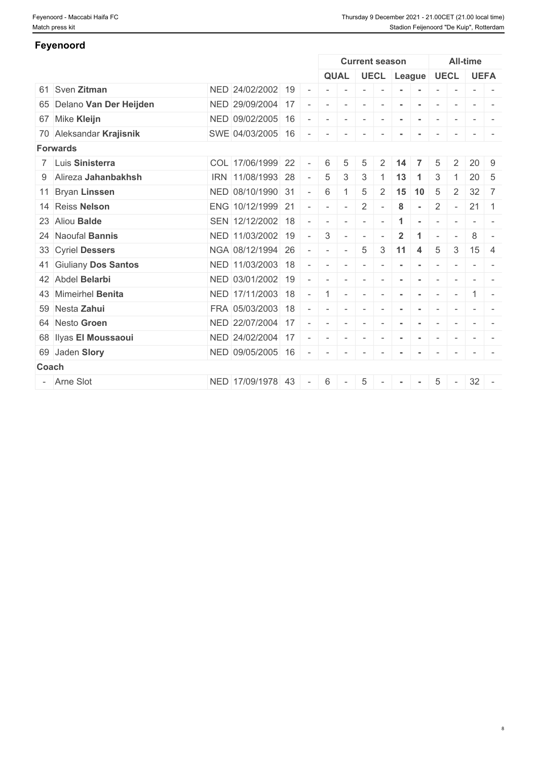**Feyenoord**

# Sven **Zitman** NED 24/02/2002 19 - - - - - **- -** - - - - Delano **Van Der Heijden** NED 29/09/2004 17 - - - - - **- -** - - - - Mike **Kleijn** NED 09/02/2005 16 - - - - - **- -** - - - - Aleksandar **Krajisnik** SWE 04/03/2005 16 - - - - - **- -** - - - - **Forwards** Luis **Sinisterra** COL 17/06/1999 22 - 6 5 5 2 **14 7** 5 2 20 9 Alireza **Jahanbakhsh** IRN 11/08/1993 28 - 5 3 3 1 **13 1** 3 1 20 5 Bryan **Linssen** NED 08/10/1990 31 - 6 1 5 2 **15 10** 5 2 32 7 Reiss **Nelson** ENG 10/12/1999 21 - - - 2 - **8 -** 2 - 21 1 23 Aliou **Balde** SEN 12/12/2002 18 - - - - - 1 - - - - - Naoufal **Bannis** NED 11/03/2002 19 - 3 - - - **2 1** - - 8 - Cyriel **Dessers** NGA 08/12/1994 26 - - - 5 3 **11 4** 5 3 15 4 Giuliany **Dos Santos** NED 11/03/2003 18 - - - - - **- -** - - - - Abdel **Belarbi** NED 03/01/2002 19 - - - - - **- -** - - - - Mimeirhel **Benita** NED 17/11/2003 18 - 1 - - - **- -** - - 1 - Nesta **Zahui** FRA 05/03/2003 18 - - - - - **- -** - - - - Nesto **Groen** NED 22/07/2004 17 - - - - - **- -** - - - - Ilyas **El Moussaoui** NED 24/02/2004 17 - - - - - **- -** - - - - Jaden **Slory** NED 09/05/2005 16 - - - - - **- -** - - - - **Coach Coach Coach Coach Coach Coach Coach <b>Coach Coach Coach** - Arne Slot NED 17/09/1978 43 - 6 - 5 - **- -** 5 - 32 - **Current season All-time QUAL UECL League UECL UEFA**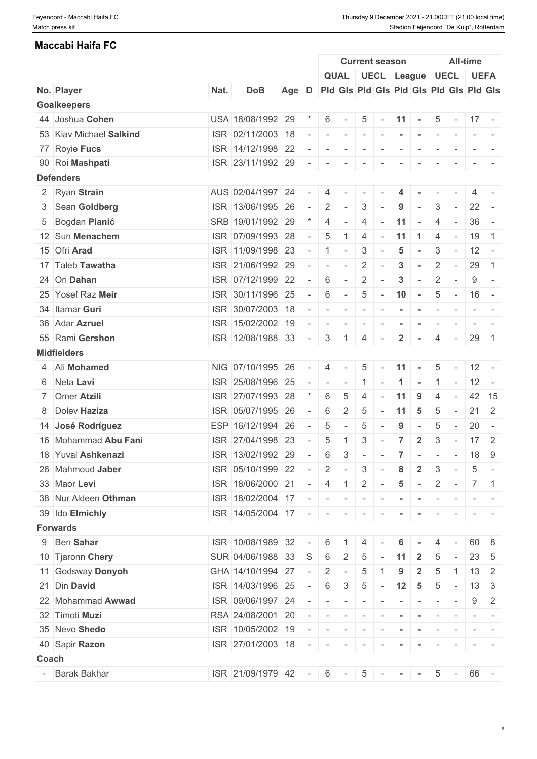#### **Maccabi Haifa FC**

|       |                         |      |                                                   |       |                          |                          |                          |                          | <b>Current season</b>                   |                |                |                          |                          | <b>All-time</b> |                                                                                                                           |
|-------|-------------------------|------|---------------------------------------------------|-------|--------------------------|--------------------------|--------------------------|--------------------------|-----------------------------------------|----------------|----------------|--------------------------|--------------------------|-----------------|---------------------------------------------------------------------------------------------------------------------------|
|       |                         |      |                                                   |       |                          |                          | <b>QUAL</b>              |                          | UECL League UECL UEFA                   |                |                |                          |                          |                 |                                                                                                                           |
|       | No. Player              | Nat. | <b>DoB</b>                                        | Age D |                          |                          |                          |                          | Pid Gis Pid Gis Pid Gis Pid Gis Pid Gis |                |                |                          |                          |                 |                                                                                                                           |
|       | <b>Goalkeepers</b>      |      |                                                   |       |                          |                          |                          |                          |                                         |                |                |                          |                          |                 |                                                                                                                           |
|       | 44 Joshua Cohen         |      | USA 18/08/1992 29                                 |       |                          | 6                        |                          | 5                        |                                         | 11             | $\sim$         | 5                        | $\sim$                   | $17 -$          |                                                                                                                           |
|       | 53 Kiav Michael Salkind |      | ISR 02/11/2003 18                                 |       |                          | $\overline{\phantom{a}}$ | $\overline{\phantom{a}}$ | $\sim$                   | $\sim$                                  | $\sim$         | $\sim$         | $\sim$                   | $\sim$                   |                 | $\frac{1}{2} \left( \frac{1}{2} \right) \left( \frac{1}{2} \right) \left( \frac{1}{2} \right) \left( \frac{1}{2} \right)$ |
|       | 77 Royie Fucs           |      | ISR 14/12/1998 22                                 |       |                          |                          |                          | $\overline{\phantom{a}}$ |                                         |                |                |                          |                          |                 |                                                                                                                           |
|       | 90 Roi Mashpati         |      | ISR 23/11/1992 29                                 |       |                          | $\overline{\phantom{a}}$ | $\overline{\phantom{a}}$ | $\overline{\phantom{a}}$ |                                         |                |                |                          |                          |                 |                                                                                                                           |
|       | <b>Defenders</b>        |      |                                                   |       |                          |                          |                          |                          |                                         |                |                |                          |                          |                 |                                                                                                                           |
|       | 2 Ryan Strain           |      | AUS 02/04/1997 24                                 |       |                          |                          |                          |                          |                                         |                |                |                          |                          |                 |                                                                                                                           |
|       | 3 Sean Goldberg         |      | ISR 13/06/1995 26                                 |       | $\sim$                   | 2                        |                          | 3                        |                                         | 9              |                | 3                        | $\overline{\phantom{a}}$ |                 | $22 -$                                                                                                                    |
|       | 5 Bogdan Planić         |      | SRB 19/01/1992 29                                 |       |                          | 4                        | $\overline{\phantom{a}}$ | 4                        |                                         | 11             | $\sim$         | 4                        | $\sim$                   |                 | $36 -$                                                                                                                    |
|       | 12 Sun Menachem         |      | ISR 07/09/1993 28                                 |       |                          | 5                        |                          | $\overline{4}$           |                                         | 11             | $\mathbf 1$    | 4                        | $\sim$                   |                 | $19$ 1                                                                                                                    |
|       | 15 Ofri Arad            |      | ISR 11/09/1998 23                                 |       |                          | $\overline{1}$           | $\sim$                   | 3                        |                                         | 5              |                | 3                        | $\sim$                   |                 | $12 -$                                                                                                                    |
|       | 17 Taleb Tawatha        |      | ISR 21/06/1992 29                                 |       |                          | $\sim$                   | $\sim$                   | $\overline{2}$           |                                         | 3              | $\sim$         | $\overline{2}$           | $\sim$                   | 29              | $\overline{1}$                                                                                                            |
|       | 24 Ori Dahan            |      | ISR 07/12/1999 22                                 |       |                          | 6                        |                          | $\overline{2}$           |                                         | 3              |                | $\overline{2}$           | $\overline{\phantom{a}}$ | 9               | $\sim$                                                                                                                    |
|       | 25 Yosef Raz Meir       |      | ISR 30/11/1996 25                                 |       |                          | 6                        | $\sim$                   | 5                        | $\sim$                                  | 10             | $\sim$         | 5                        | $\sim$                   |                 | $16 -$                                                                                                                    |
|       | 34 Itamar Guri          |      | ISR 30/07/2003 18                                 |       |                          |                          |                          | $\overline{\phantom{a}}$ |                                         |                |                | $\overline{\phantom{a}}$ | $\overline{\phantom{a}}$ | $\sim$          |                                                                                                                           |
|       | 36 Adar Azruel          |      | ISR 15/02/2002 19                                 |       |                          | $\overline{\phantom{a}}$ | $\sim$                   | $\overline{\phantom{a}}$ |                                         | $\blacksquare$ | $\sim$         | $\sim$                   | $\sim$                   |                 | $ -$                                                                                                                      |
|       | 55 Rami Gershon         |      | ISR 12/08/1988 33                                 |       | $\overline{\phantom{a}}$ | 3                        |                          | 4                        |                                         | $\overline{2}$ | $\sim$         | 4                        | $\sim$ $-$               |                 | $29 \mid 1$                                                                                                               |
|       | <b>Midfielders</b>      |      |                                                   |       |                          |                          |                          |                          |                                         |                |                |                          |                          |                 |                                                                                                                           |
|       | 4 Ali Mohamed           |      | NIG 07/10/1995 26                                 |       |                          | 4                        |                          | 5                        |                                         | 11             |                | 5                        |                          |                 | $12 -$                                                                                                                    |
|       |                         |      |                                                   |       |                          |                          |                          |                          |                                         |                |                |                          |                          |                 |                                                                                                                           |
|       | 6 Neta Lavi             |      | ISR 25/08/1996 25                                 |       |                          | $\sim$                   | $\sim$                   | $\mathbf{1}$             | $\sim$                                  | $\mathbf{1}$   | $\sim$         | $\mathbf{1}$             | $\sim$                   |                 | $12 -$                                                                                                                    |
|       | 7 Omer Atzili           |      | ISR 27/07/1993 28                                 |       |                          | 6                        | 5                        | 4                        |                                         | 11             | 9              | 4                        |                          |                 | $42 \mid 15$                                                                                                              |
|       | 8 Doley Haziza          |      | ISR 05/07/1995 26                                 |       |                          | 6                        | $\overline{2}$           | 5                        |                                         | 11             | 5              | 5                        |                          | 21              | $\overline{2}$                                                                                                            |
|       | 14 José Rodríguez       |      | ESP 16/12/1994 26                                 |       |                          | $\overline{5}$           |                          | 5                        |                                         | 9              |                | 5                        | $\sim$                   | 20              | $\sim$                                                                                                                    |
|       | 16 Mohammad Abu Fani    |      | ISR 27/04/1998 23                                 |       |                          | 5                        |                          | 3                        |                                         | 7              | $\overline{2}$ | 3                        | $\overline{\phantom{a}}$ | 17              | $\overline{2}$                                                                                                            |
|       | 18 Yuval Ashkenazi      |      | ISR 13/02/1992 29                                 |       |                          | 6                        | 3                        | $\overline{\phantom{a}}$ | $\overline{\phantom{a}}$                | $\overline{7}$ |                | $\sim$                   | $\sim$                   |                 | $18$ 9                                                                                                                    |
|       | 26 Mahmoud Jaber        |      | ISR 05/10/1999 22                                 |       |                          | $\overline{2}$           | $\sim$                   | 3                        |                                         | 8              | $\overline{2}$ | 3                        | $\sim$                   | 5               | $\sim$                                                                                                                    |
|       | 33 Maor Levi            |      | ISR 18/06/2000 21                                 |       |                          | 4                        | $\overline{1}$           | $\overline{2}$           | $\sim$                                  | $\sqrt{5}$     | $\sim$         | $\overline{2}$           | $\sim$                   |                 | $7 \mid 1$                                                                                                                |
|       | 38 Nur Aldeen Othman    |      | ISR 18/02/2004 17                                 |       | $\sim$                   | $\sim$                   | $\overline{\phantom{a}}$ | $\sim$                   |                                         |                |                | $\overline{\phantom{a}}$ |                          |                 |                                                                                                                           |
|       | 39 Ido Elmichly         |      | $\overline{1$ SR $\overline{14/05/2004}$ 17 - - - |       |                          |                          |                          |                          | $-1$                                    | $\sim$         | $\sim$         | $\sim$                   | $\mathbf{r}$             |                 | $\frac{1}{2} \left( \frac{1}{2} \right) \left( \frac{1}{2} \right) = \frac{1}{2}$                                         |
|       | <b>Forwards</b>         |      |                                                   |       |                          |                          |                          |                          |                                         |                |                |                          |                          |                 |                                                                                                                           |
|       | 9 Ben Sahar             |      | ISR 10/08/1989 32                                 |       |                          | 6                        |                          | 4                        |                                         | 6              |                | 4                        |                          | 60              | - 8                                                                                                                       |
|       | 10 Tjaronn Chery        |      | SUR 04/06/1988 33                                 |       | S                        | 6                        | 2                        | 5                        |                                         | -11            |                | 5                        |                          | 23              | - 5                                                                                                                       |
|       | 11 Godsway Donyoh       |      | GHA 14/10/1994 27                                 |       |                          | 2                        |                          | 5                        |                                         | 9              | $\mathbf{2}$   | 5                        |                          |                 | $13 \mid 2$                                                                                                               |
|       | 21 Din David            |      | ISR 14/03/1996 25                                 |       |                          | 6                        | 3                        | $\overline{5}$           |                                         | $12 \quad 5$   |                | 5                        |                          |                 | $13 \mid 3$                                                                                                               |
|       | 22 Mohammad Awwad       |      | ISR 09/06/1997 24                                 |       |                          | $\sim$                   | $\sim$                   | $\sim$                   | $\sim$                                  | $\sim$         | $\sim$         | $\sim$                   |                          | 9               | 2                                                                                                                         |
|       | 32 Timoti Muzi          |      | RSA 24/08/2001 20                                 |       |                          | $\sim$                   |                          |                          | $\sim$                                  | $\sim$         | $\sim$         | $\sim$                   | $\sim$                   |                 | $\mathcal{L} = \{ \mathcal{L} \mid \mathcal{L} = \mathcal{L} \}$                                                          |
|       | 35 Nevo Shedo           |      | ISR 10/05/2002 19                                 |       |                          | $\sim$                   |                          | $\sim$                   |                                         |                |                |                          |                          |                 |                                                                                                                           |
|       | 40 Sapir Razon          |      | ISR 27/01/2003 18                                 |       | $\sim$                   | $\sim$                   | $\sim$                   | $\sim$                   |                                         |                |                |                          |                          |                 |                                                                                                                           |
| Coach |                         |      |                                                   |       |                          |                          |                          |                          |                                         |                |                |                          |                          |                 |                                                                                                                           |
|       | - Barak Bakhar          |      | ISR 21/09/1979 42                                 |       | $\sim$                   | 6                        | $\sim$                   | $5\phantom{.0}$          |                                         |                |                | 5                        | $\sim$ $ \sim$           |                 | 66 -                                                                                                                      |
|       |                         |      |                                                   |       |                          |                          |                          |                          |                                         |                |                |                          |                          |                 |                                                                                                                           |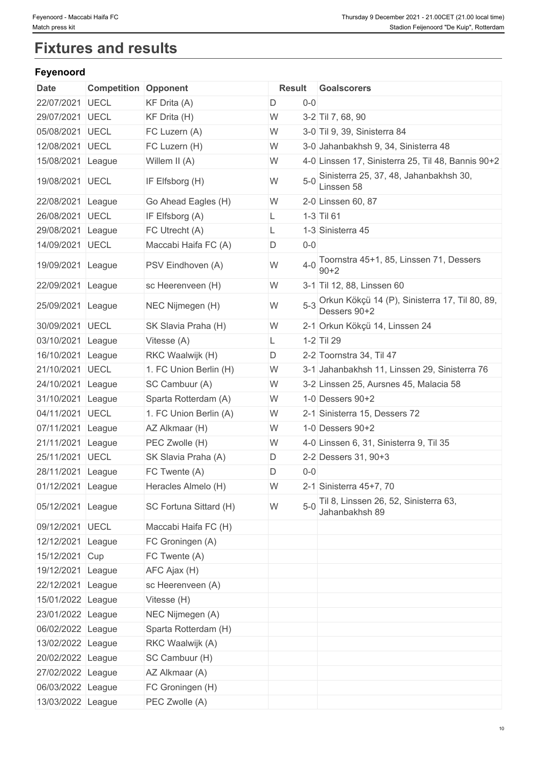# **Fixtures and results**

## **Feyenoord**

| Date              | <b>Competition Opponent</b> |                        |    |              | Result Goalscorers                                                 |
|-------------------|-----------------------------|------------------------|----|--------------|--------------------------------------------------------------------|
| 22/07/2021 UECL   |                             | KF Drita (A)           | D  | $0-0$        |                                                                    |
| 29/07/2021        | <b>UECL</b>                 | KF Drita (H)           | W  |              | 3-2 Til 7, 68, 90                                                  |
| 05/08/2021        | <b>UECL</b>                 | FC Luzern (A)          | W  |              | 3-0 Til 9, 39, Sinisterra 84                                       |
| 12/08/2021 UECL   |                             | FC Luzern (H)          | W  |              | 3-0 Jahanbakhsh 9, 34, Sinisterra 48                               |
| 15/08/2021 League |                             | Willem II (A)          | W  |              | 4-0 Linssen 17, Sinisterra 25, Til 48, Bannis 90+2                 |
| 19/08/2021 UECL   |                             | IF Elfsborg (H)        | W  |              | 5-0 Sinisterra 25, 37, 48, Jahanbakhsh 30,<br>Linssen 58           |
| 22/08/2021 League |                             | Go Ahead Eagles (H)    | W  |              | 2-0 Linssen 60, 87                                                 |
| 26/08/2021 UECL   |                             | IF Elfsborg (A)        | L. | $1-3$ Til 61 |                                                                    |
| 29/08/2021 League |                             | FC Utrecht (A)         | L. |              | 1-3 Sinisterra 45                                                  |
| 14/09/2021 UECL   |                             | Maccabi Haifa FC (A)   | D  | $0 - 0$      |                                                                    |
| 19/09/2021 League |                             | PSV Eindhoven (A)      | W  | $4 - 0$      | Toornstra 45+1, 85, Linssen 71, Dessers<br>$90 + 2$                |
| 22/09/2021 League |                             | sc Heerenveen (H)      | W  |              | 3-1 Til 12, 88, Linssen 60                                         |
| 25/09/2021 League |                             | NEC Nijmegen (H)       | W  |              | 5-3 Orkun Kökçü 14 (P), Sinisterra 17, Til 80, 89,<br>Dessers 90+2 |
| 30/09/2021 UECL   |                             | SK Slavia Praha (H)    | W  |              | 2-1 Orkun Kökçü 14, Linssen 24                                     |
| 03/10/2021 League |                             | Vitesse (A)            | L. | 1-2 Til 29   |                                                                    |
| 16/10/2021 League |                             | RKC Waalwijk (H)       | D  |              | 2-2 Toornstra 34, Til 47                                           |
| 21/10/2021 UECL   |                             | 1. FC Union Berlin (H) | W  |              | 3-1 Jahanbakhsh 11, Linssen 29, Sinisterra 76                      |
| 24/10/2021 League |                             | SC Cambuur (A)         | W  |              | 3-2 Linssen 25, Aursnes 45, Malacia 58                             |
| 31/10/2021 League |                             | Sparta Rotterdam (A)   | W  |              | 1-0 Dessers $90+2$                                                 |
| 04/11/2021 UECL   |                             | 1. FC Union Berlin (A) | W  |              | 2-1 Sinisterra 15, Dessers 72                                      |
| 07/11/2021        | League                      | AZ Alkmaar (H)         | W  |              | 1-0 Dessers 90+2                                                   |
| 21/11/2021        | League                      | PEC Zwolle (H)         | W  |              | 4-0 Linssen 6, 31, Sinisterra 9, Til 35                            |
| 25/11/2021 UECL   |                             | SK Slavia Praha (A)    | D  |              | 2-2 Dessers 31, 90+3                                               |
| 28/11/2021 League |                             | FC Twente (A)          | D  | $0-0$        |                                                                    |
| 01/12/2021 League |                             | Heracles Almelo (H)    | W  |              | 2-1 Sinisterra 45+7, 70                                            |
| 05/12/2021 League |                             | SC Fortuna Sittard (H) | W  |              | 5-0 Til 8, Linssen 26, 52, Sinisterra 63,<br>Jahanbakhsh 89        |
| 09/12/2021 UECL   |                             | Maccabi Haifa FC (H)   |    |              |                                                                    |
| 12/12/2021 League |                             | FC Groningen (A)       |    |              |                                                                    |
| 15/12/2021 Cup    |                             | FC Twente (A)          |    |              |                                                                    |
| 19/12/2021 League |                             | AFC Ajax (H)           |    |              |                                                                    |
| 22/12/2021 League |                             | sc Heerenveen (A)      |    |              |                                                                    |
| 15/01/2022 League |                             | Vitesse (H)            |    |              |                                                                    |
| 23/01/2022 League |                             | NEC Nijmegen (A)       |    |              |                                                                    |
| 06/02/2022 League |                             | Sparta Rotterdam (H)   |    |              |                                                                    |
| 13/02/2022 League |                             | RKC Waalwijk (A)       |    |              |                                                                    |
| 20/02/2022 League |                             | SC Cambuur (H)         |    |              |                                                                    |
|                   |                             |                        |    |              |                                                                    |
| 27/02/2022 League |                             | AZ Alkmaar (A)         |    |              |                                                                    |
| 06/03/2022 League |                             | FC Groningen (H)       |    |              |                                                                    |
| 13/03/2022 League |                             | PEC Zwolle (A)         |    |              |                                                                    |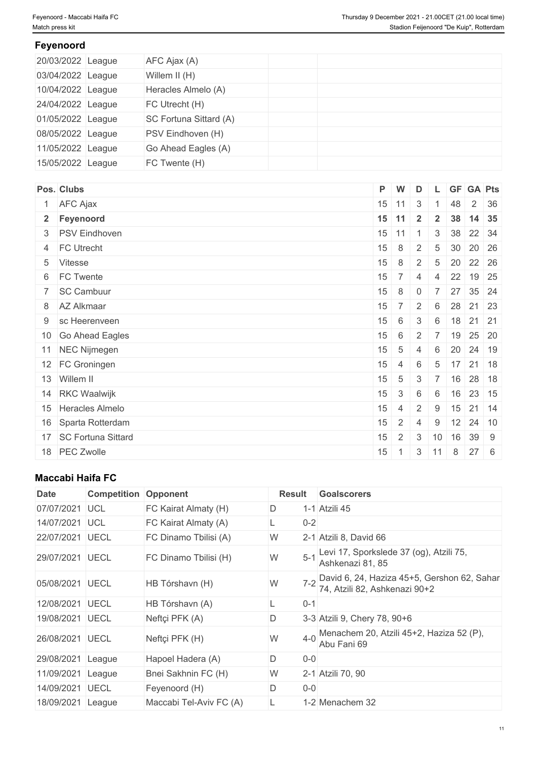### **Feyenoord**

| 20/03/2022 League | AFC Ajax (A)           |  |
|-------------------|------------------------|--|
| 03/04/2022 League | Willem II (H)          |  |
| 10/04/2022 League | Heracles Almelo (A)    |  |
| 24/04/2022 League | FC Utrecht (H)         |  |
| 01/05/2022 League | SC Fortuna Sittard (A) |  |
| 08/05/2022 League | PSV Eindhoven (H)      |  |
| 11/05/2022 League | Go Ahead Eagles (A)    |  |
| 15/05/2022 League | FC Twente (H)          |  |

| Pos. Clubs              |    | P W              | $\overline{D}$ |                 |              | L GF GA Pts          |      |
|-------------------------|----|------------------|----------------|-----------------|--------------|----------------------|------|
| 1 AFC Ajax              |    | $15$ 11 3        |                |                 | 48           |                      | 2 36 |
| 2 Feyenoord             |    | $15$ 11          | $\overline{2}$ | $2^{\circ}$     |              | 38 14 35             |      |
| 3 PSV Eindhoven         |    | $15$ 11 1        |                | 3 <sup>1</sup>  |              | 38 22 34             |      |
| 4 FC Utrecht            | 15 | $\cdot$   8 $^+$ | 2              | $5\overline{)}$ |              | $30 \ 20 \ 26$       |      |
| 5 Vitesse               | 15 | 8                | $\overline{2}$ |                 | $5 \quad 20$ | 22 26                |      |
| 6 FC Twente             |    | $15 \mid 7 \mid$ | $\overline{4}$ |                 |              | 4 22 19 25           |      |
| 7 SC Cambuur            | 15 | $\sim$   8 $^+$  | $\overline{0}$ | $\overline{7}$  |              | 27 35 24             |      |
| 8 AZ Alkmaar            | 15 | 7 <sup>1</sup>   | 2              | 6               | 28           | 21 23                |      |
| 9 sc Heerenveen         | 15 | 6                | 3              | 6               |              | $18$ 21 21           |      |
| 10 Go Ahead Eagles      | 15 | 6                | $\overline{2}$ |                 |              | 7 19 25 20           |      |
| 11 NEC Nijmegen         | 15 | 5                | 4              | 6               |              | 20 24 19             |      |
| 12 FC Groningen         | 15 | $\sim$ 4         | 6              | $5^{\circ}$     |              | $17$ 21 18           |      |
| 13 Willem II            | 15 | $5\overline{)}$  | 3              | $\overline{7}$  | $+16$        | 28 18                |      |
| 14 RKC Waalwijk         | 15 | $\mathbf{3}$     | 6              | 6               |              | $16$ 23 15           |      |
| 15 Heracles Almelo      | 15 | $\overline{4}$   | $\overline{2}$ | 9               |              | $15$ 21 14           |      |
| 16 Sparta Rotterdam     | 15 | $\overline{2}$   | 4              | 9               |              | $12 \mid 24 \mid 10$ |      |
| 17   SC Fortuna Sittard | 15 | $\overline{2}$   | 3              | 10              | 16           | 39 9                 |      |
| 18 PEC Zwolle           | 15 |                  |                | $3 \mid 11$     | 8            | $27 \quad 6$         |      |

## **Maccabi Haifa FC**

| <b>Date</b>       | <b>Competition</b> | Opponent                | <b>Result</b> | <b>Goalscorers</b>                                                           |
|-------------------|--------------------|-------------------------|---------------|------------------------------------------------------------------------------|
| 07/07/2021        | <b>UCL</b>         | FC Kairat Almaty (H)    | D             | 1-1 Atzili 45                                                                |
| 14/07/2021        | <b>IUCL</b>        | FC Kairat Almaty (A)    | $0 - 2$       |                                                                              |
| 22/07/2021        | <b>UECL</b>        | FC Dinamo Tbilisi (A)   | W             | 2-1 Atzili 8, David 66                                                       |
| 29/07/2021        | <b>UECL</b>        | FC Dinamo Tbilisi (H)   | $5 - 1$<br>W  | Levi 17, Sporkslede 37 (og), Atzili 75,<br>Ashkenazi 81, 85                  |
| 05/08/2021 UECL   |                    | HB Tórshavn (H)         | W             | David 6, 24, Haziza 45+5, Gershon 62, Sahar<br>74, Atzili 82, Ashkenazi 90+2 |
| 12/08/2021        | <b>UECL</b>        | HB Tórshavn (A)         | $0 - 1$       |                                                                              |
| 19/08/2021        | <b>UECL</b>        | Neftçi PFK (A)          | D             | 3-3 Atzili 9, Chery 78, 90+6                                                 |
| 26/08/2021        | <b>UECL</b>        | Neftçi PFK (H)          | $4 - 0$<br>W  | Menachem 20, Atzili 45+2, Haziza 52 (P),<br>Abu Fani 69                      |
| 29/08/2021        | League             | Hapoel Hadera (A)       | D<br>$0 - 0$  |                                                                              |
| 11/09/2021        | League             | Bnei Sakhnin FC (H)     | W             | 2-1 Atzili 70, 90                                                            |
| 14/09/2021        | <b>UECL</b>        | Feyenoord (H)           | D<br>$0 - 0$  |                                                                              |
| 18/09/2021 League |                    | Maccabi Tel-Aviv FC (A) |               | 1-2 Menachem 32                                                              |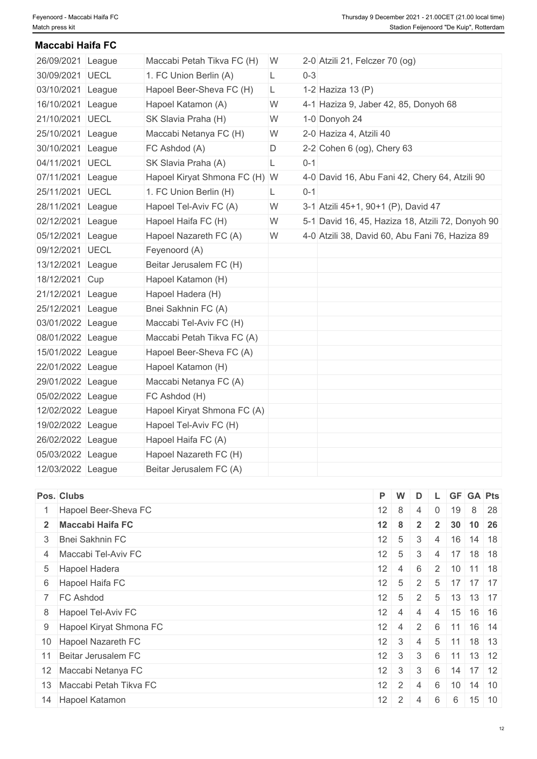**Maccabi Haifa FC**

| 26/09/2021 League | Maccabi Petah Tikva FC (H)    | W. |         | 2-0 Atzili 21, Felczer 70 (og)                    |
|-------------------|-------------------------------|----|---------|---------------------------------------------------|
| 30/09/2021 UECL   | 1. FC Union Berlin (A)        | L  | $0 - 3$ |                                                   |
| 03/10/2021 League | Hapoel Beer-Sheva FC (H)      | L. |         | 1-2 Haziza 13 (P)                                 |
| 16/10/2021 League | Hapoel Katamon (A)            | W  |         | 4-1 Haziza 9, Jaber 42, 85, Donyoh 68             |
| 21/10/2021 UECL   | SK Slavia Praha (H)           | W  |         | 1-0 Donyoh 24                                     |
| 25/10/2021 League | Maccabi Netanya FC (H)        | W  |         | 2-0 Haziza 4, Atzili 40                           |
| 30/10/2021 League | FC Ashdod (A)                 | D  |         | 2-2 Cohen 6 (og), Chery 63                        |
| 04/11/2021 UECL   | SK Slavia Praha (A)           | L  | $0 - 1$ |                                                   |
| 07/11/2021 League | Hapoel Kiryat Shmona FC (H) W |    |         | 4-0 David 16, Abu Fani 42, Chery 64, Atzili 90    |
| 25/11/2021 UECL   | 1. FC Union Berlin (H)        | L. | $0 - 1$ |                                                   |
| 28/11/2021 League | Hapoel Tel-Aviv FC (A)        | W  |         | 3-1 Atzili 45+1, 90+1 (P), David 47               |
| 02/12/2021 League | Hapoel Haifa FC (H)           | W  |         | 5-1 David 16, 45, Haziza 18, Atzili 72, Donyoh 90 |
| 05/12/2021 League | Hapoel Nazareth FC (A)        | W  |         | 4-0 Atzili 38, David 60, Abu Fani 76, Haziza 89   |
| 09/12/2021 UECL   | Feyenoord (A)                 |    |         |                                                   |
| 13/12/2021 League | Beitar Jerusalem FC (H)       |    |         |                                                   |
| 18/12/2021 Cup    | Hapoel Katamon (H)            |    |         |                                                   |
| 21/12/2021 League | Hapoel Hadera (H)             |    |         |                                                   |
| 25/12/2021 League | Bnei Sakhnin FC (A)           |    |         |                                                   |
| 03/01/2022 League | Maccabi Tel-Aviv FC (H)       |    |         |                                                   |
| 08/01/2022 League | Maccabi Petah Tikva FC (A)    |    |         |                                                   |
| 15/01/2022 League | Hapoel Beer-Sheva FC (A)      |    |         |                                                   |
| 22/01/2022 League | Hapoel Katamon (H)            |    |         |                                                   |
| 29/01/2022 League | Maccabi Netanya FC (A)        |    |         |                                                   |
| 05/02/2022 League | FC Ashdod (H)                 |    |         |                                                   |
| 12/02/2022 League | Hapoel Kiryat Shmona FC (A)   |    |         |                                                   |
| 19/02/2022 League | Hapoel Tel-Aviv FC (H)        |    |         |                                                   |
| 26/02/2022 League | Hapoel Haifa FC (A)           |    |         |                                                   |
| 05/03/2022 League | Hapoel Nazareth FC (H)        |    |         |                                                   |
| 12/03/2022 League | Beitar Jerusalem FC (A)       |    |         |                                                   |

| Pos. Clubs                | $P$ W        |                    | D                                   |                |                 | L GF GA Pts                 |  |
|---------------------------|--------------|--------------------|-------------------------------------|----------------|-----------------|-----------------------------|--|
| 1 Hapoel Beer-Sheva FC    | $12 \mid 8$  |                    | 4                                   | $\overline{0}$ | 19              | 8 28                        |  |
| 2 Maccabi Haifa FC        | 12           | - 8                | $\overline{2}$                      | $\overline{2}$ | 30 <sup>°</sup> | $10 \mid 26$                |  |
| 3 Bnei Sakhnin FC         | $12 \mid 5$  |                    | 3                                   | $-4$           |                 | $16$ 14 18                  |  |
| 4 Maccabi Tel-Aviv FC     | $12 \quad 5$ |                    | 3                                   | 4              |                 | $17$ 18 18                  |  |
| 5 Hapoel Hadera           |              | $12 \mid 4 \mid$   | 6                                   |                |                 | $2 \mid 10 \mid 11 \mid 18$ |  |
| 6 Hapoel Haifa FC         | $12 \mid 5$  |                    | 2                                   |                |                 | $5 \mid 17 \mid 17 \mid 17$ |  |
| 7 FC Ashdod               |              | $12 \mid 5 \mid$   | 2 <sup>1</sup>                      |                |                 | $5 \mid 13 \mid 13 \mid 17$ |  |
| 8 Hapoel Tel-Aviv FC      |              | $12 \mid 4 \mid$   | $\overline{4}$                      |                |                 | 4 15 16 16                  |  |
| 9 Hapoel Kiryat Shmona FC |              |                    |                                     |                |                 | $12$ 4 2 6 11 16 14         |  |
| 10 Hapoel Nazareth FC     |              | $12 \mid 3$        | $\pm$ 4 <sup><math>\pm</math></sup> |                |                 | $5$ 11 18 13                |  |
| 11 Beitar Jerusalem FC    |              | $12 \mid 3 \mid 3$ |                                     |                |                 | $6$ 11 13 12                |  |
| 12 Maccabi Netanya FC     |              | $12 \mid 3 \mid$   | 3 <sup>5</sup>                      |                |                 | $6$ 14 17 12                |  |
| 13 Maccabi Petah Tikva FC |              | $12 \mid 2 \mid 4$ |                                     | 6              |                 | $10 \mid 14 \mid 10$        |  |
| 14 Hapoel Katamon         | 12           | 2 <sup>1</sup>     | $\overline{4}$                      | 6              | 6               | $15$ 10                     |  |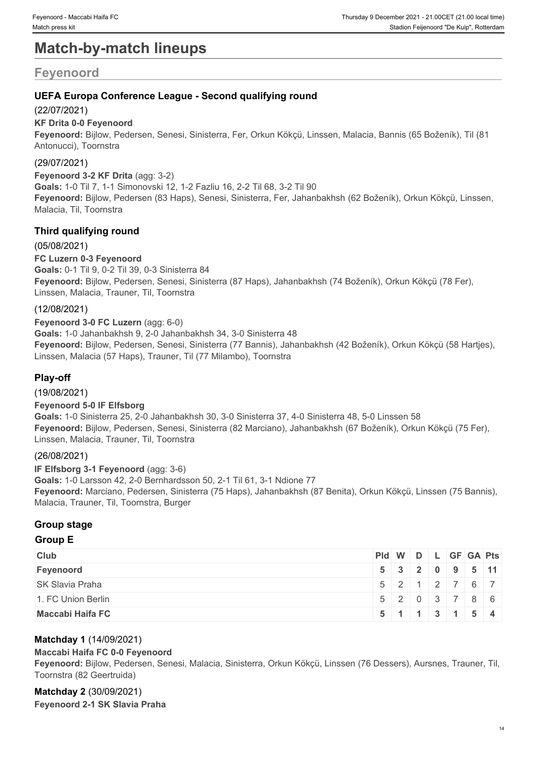# **Match-by-match lineups**

# **Feyenoord**

### **UEFA Europa Conference League - Second qualifying round**

#### (22/07/2021)

#### **KF Drita 0-0 Feyenoord**

**Feyenoord:** Bijlow, Pedersen, Senesi, Sinisterra, Fer, Orkun Kökçü, Linssen, Malacia, Bannis (65 Boženík), Til (81 Antonucci), Toornstra

#### (29/07/2021)

**Feyenoord 3-2 KF Drita** (agg: 3-2) **Goals:** 1-0 Til 7, 1-1 Simonovski 12, 1-2 Fazliu 16, 2-2 Til 68, 3-2 Til 90 **Feyenoord:** Bijlow, Pedersen (83 Haps), Senesi, Sinisterra, Fer, Jahanbakhsh (62 Boženík), Orkun Kökçü, Linssen, Malacia, Til, Toornstra

### **Third qualifying round**

(05/08/2021) **FC Luzern 0-3 Feyenoord Goals:** 0-1 Til 9, 0-2 Til 39, 0-3 Sinisterra 84 **Feyenoord:** Bijlow, Pedersen, Senesi, Sinisterra (87 Haps), Jahanbakhsh (74 Boženík), Orkun Kökçü (78 Fer), Linssen, Malacia, Trauner, Til, Toornstra

#### (12/08/2021)

**Feyenoord 3-0 FC Luzern** (agg: 6-0) **Goals:** 1-0 Jahanbakhsh 9, 2-0 Jahanbakhsh 34, 3-0 Sinisterra 48 **Feyenoord:** Bijlow, Pedersen, Senesi, Sinisterra (77 Bannis), Jahanbakhsh (42 Boženík), Orkun Kökçü (58 Hartjes), Linssen, Malacia (57 Haps), Trauner, Til (77 Milambo), Toornstra

#### **Play-off**

(19/08/2021)

#### **Feyenoord 5-0 IF Elfsborg**

**Goals:** 1-0 Sinisterra 25, 2-0 Jahanbakhsh 30, 3-0 Sinisterra 37, 4-0 Sinisterra 48, 5-0 Linssen 58 **Feyenoord:** Bijlow, Pedersen, Senesi, Sinisterra (82 Marciano), Jahanbakhsh (67 Boženík), Orkun Kökçü (75 Fer), Linssen, Malacia, Trauner, Til, Toornstra

#### (26/08/2021)

**IF Elfsborg 3-1 Feyenoord** (agg: 3-6) **Goals:** 1-0 Larsson 42, 2-0 Bernhardsson 50, 2-1 Til 61, 3-1 Ndione 77 **Feyenoord:** Marciano, Pedersen, Sinisterra (75 Haps), Jahanbakhsh (87 Benita), Orkun Kökçü, Linssen (75 Bannis), Malacia, Trauner, Til, Toornstra, Burger

#### **Group stage**

### **Group E**

| <b>Club</b>             | $PId \mid W \mid D \mid L \mid GF \mid GA \mid Pts \mid$ |                                               |  |  |  |
|-------------------------|----------------------------------------------------------|-----------------------------------------------|--|--|--|
| Feyenoord               |                                                          | 5 3 2 0 9 5 11                                |  |  |  |
| <b>SK Slavia Praha</b>  | 5212767                                                  |                                               |  |  |  |
| 1. FC Union Berlin      |                                                          | 5 2 0 3 7 8 6                                 |  |  |  |
| <b>Maccabi Haifa FC</b> |                                                          | $5 \mid 1 \mid 1 \mid 3 \mid 1 \mid 5 \mid 4$ |  |  |  |

#### **Matchday 1** (14/09/2021)

#### **Maccabi Haifa FC 0-0 Feyenoord**

**Feyenoord:** Bijlow, Pedersen, Senesi, Malacia, Sinisterra, Orkun Kökçü, Linssen (76 Dessers), Aursnes, Trauner, Til, Toornstra (82 Geertruida)

#### **Matchday 2** (30/09/2021) **Feyenoord 2-1 SK Slavia Praha**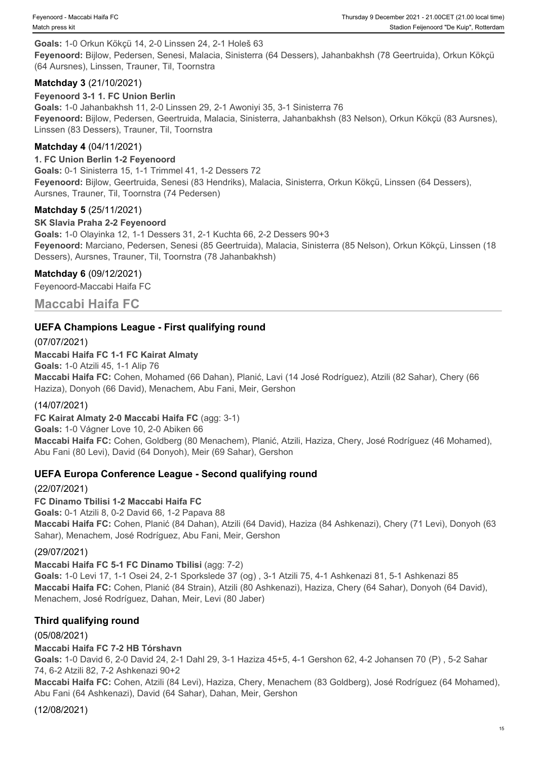**Goals:** 1-0 Orkun Kökçü 14, 2-0 Linssen 24, 2-1 Holeš 63 **Feyenoord:** Bijlow, Pedersen, Senesi, Malacia, Sinisterra (64 Dessers), Jahanbakhsh (78 Geertruida), Orkun Kökçü (64 Aursnes), Linssen, Trauner, Til, Toornstra

#### **Matchday 3** (21/10/2021)

**Feyenoord 3-1 1. FC Union Berlin**

**Goals:** 1-0 Jahanbakhsh 11, 2-0 Linssen 29, 2-1 Awoniyi 35, 3-1 Sinisterra 76 **Feyenoord:** Bijlow, Pedersen, Geertruida, Malacia, Sinisterra, Jahanbakhsh (83 Nelson), Orkun Kökçü (83 Aursnes), Linssen (83 Dessers), Trauner, Til, Toornstra

#### **Matchday 4** (04/11/2021)

#### **1. FC Union Berlin 1-2 Feyenoord**

**Goals:** 0-1 Sinisterra 15, 1-1 Trimmel 41, 1-2 Dessers 72 **Feyenoord:** Bijlow, Geertruida, Senesi (83 Hendriks), Malacia, Sinisterra, Orkun Kökçü, Linssen (64 Dessers), Aursnes, Trauner, Til, Toornstra (74 Pedersen)

#### **Matchday 5** (25/11/2021)

#### **SK Slavia Praha 2-2 Feyenoord**

**Goals:** 1-0 Olayinka 12, 1-1 Dessers 31, 2-1 Kuchta 66, 2-2 Dessers 90+3 **Feyenoord:** Marciano, Pedersen, Senesi (85 Geertruida), Malacia, Sinisterra (85 Nelson), Orkun Kökçü, Linssen (18 Dessers), Aursnes, Trauner, Til, Toornstra (78 Jahanbakhsh)

#### **Matchday 6** (09/12/2021)

Feyenoord-Maccabi Haifa FC

**Maccabi Haifa FC**

#### **UEFA Champions League - First qualifying round**

(07/07/2021) **Maccabi Haifa FC 1-1 FC Kairat Almaty Goals:** 1-0 Atzili 45, 1-1 Alip 76 **Maccabi Haifa FC:** Cohen, Mohamed (66 Dahan), Planić, Lavi (14 José Rodríguez), Atzili (82 Sahar), Chery (66 Haziza), Donyoh (66 David), Menachem, Abu Fani, Meir, Gershon

#### (14/07/2021)

**FC Kairat Almaty 2-0 Maccabi Haifa FC** (agg: 3-1)

**Goals:** 1-0 Vágner Love 10, 2-0 Abiken 66

**Maccabi Haifa FC:** Cohen, Goldberg (80 Menachem), Planić, Atzili, Haziza, Chery, José Rodríguez (46 Mohamed), Abu Fani (80 Levi), David (64 Donyoh), Meir (69 Sahar), Gershon

#### **UEFA Europa Conference League - Second qualifying round**

#### (22/07/2021)

**FC Dinamo Tbilisi 1-2 Maccabi Haifa FC**

**Goals:** 0-1 Atzili 8, 0-2 David 66, 1-2 Papava 88 **Maccabi Haifa FC:** Cohen, Planić (84 Dahan), Atzili (64 David), Haziza (84 Ashkenazi), Chery (71 Levi), Donyoh (63 Sahar), Menachem, José Rodríguez, Abu Fani, Meir, Gershon

### (29/07/2021)

**Maccabi Haifa FC 5-1 FC Dinamo Tbilisi** (agg: 7-2)

**Goals:** 1-0 Levi 17, 1-1 Osei 24, 2-1 Sporkslede 37 (og) , 3-1 Atzili 75, 4-1 Ashkenazi 81, 5-1 Ashkenazi 85 **Maccabi Haifa FC:** Cohen, Planić (84 Strain), Atzili (80 Ashkenazi), Haziza, Chery (64 Sahar), Donyoh (64 David), Menachem, José Rodríguez, Dahan, Meir, Levi (80 Jaber)

## **Third qualifying round**

(05/08/2021)

## **Maccabi Haifa FC 7-2 HB Tórshavn**

**Goals:** 1-0 David 6, 2-0 David 24, 2-1 Dahl 29, 3-1 Haziza 45+5, 4-1 Gershon 62, 4-2 Johansen 70 (P) , 5-2 Sahar 74, 6-2 Atzili 82, 7-2 Ashkenazi 90+2

**Maccabi Haifa FC:** Cohen, Atzili (84 Levi), Haziza, Chery, Menachem (83 Goldberg), José Rodríguez (64 Mohamed), Abu Fani (64 Ashkenazi), David (64 Sahar), Dahan, Meir, Gershon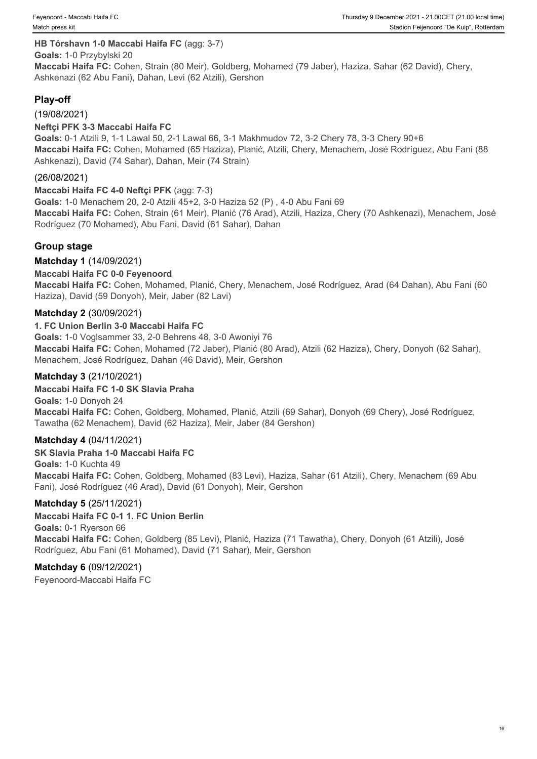#### **HB Tórshavn 1-0 Maccabi Haifa FC** (agg: 3-7)

**Goals:** 1-0 Przybylski 20 **Maccabi Haifa FC:** Cohen, Strain (80 Meir), Goldberg, Mohamed (79 Jaber), Haziza, Sahar (62 David), Chery, Ashkenazi (62 Abu Fani), Dahan, Levi (62 Atzili), Gershon

### **Play-off**

#### (19/08/2021)

#### **Neftçi PFK 3-3 Maccabi Haifa FC**

**Goals:** 0-1 Atzili 9, 1-1 Lawal 50, 2-1 Lawal 66, 3-1 Makhmudov 72, 3-2 Chery 78, 3-3 Chery 90+6 **Maccabi Haifa FC:** Cohen, Mohamed (65 Haziza), Planić, Atzili, Chery, Menachem, José Rodríguez, Abu Fani (88 Ashkenazi), David (74 Sahar), Dahan, Meir (74 Strain)

#### (26/08/2021)

#### **Maccabi Haifa FC 4-0 Neftçi PFK** (agg: 7-3)

**Goals:** 1-0 Menachem 20, 2-0 Atzili 45+2, 3-0 Haziza 52 (P) , 4-0 Abu Fani 69 **Maccabi Haifa FC:** Cohen, Strain (61 Meir), Planić (76 Arad), Atzili, Haziza, Chery (70 Ashkenazi), Menachem, José Rodríguez (70 Mohamed), Abu Fani, David (61 Sahar), Dahan

#### **Group stage**

#### **Matchday 1** (14/09/2021)

#### **Maccabi Haifa FC 0-0 Feyenoord**

**Maccabi Haifa FC:** Cohen, Mohamed, Planić, Chery, Menachem, José Rodríguez, Arad (64 Dahan), Abu Fani (60 Haziza), David (59 Donyoh), Meir, Jaber (82 Lavi)

#### **Matchday 2** (30/09/2021)

#### **1. FC Union Berlin 3-0 Maccabi Haifa FC**

**Goals:** 1-0 Voglsammer 33, 2-0 Behrens 48, 3-0 Awoniyi 76 **Maccabi Haifa FC:** Cohen, Mohamed (72 Jaber), Planić (80 Arad), Atzili (62 Haziza), Chery, Donyoh (62 Sahar), Menachem, José Rodríguez, Dahan (46 David), Meir, Gershon

#### **Matchday 3** (21/10/2021)

#### **Maccabi Haifa FC 1-0 SK Slavia Praha**

**Goals:** 1-0 Donyoh 24 **Maccabi Haifa FC:** Cohen, Goldberg, Mohamed, Planić, Atzili (69 Sahar), Donyoh (69 Chery), José Rodríguez, Tawatha (62 Menachem), David (62 Haziza), Meir, Jaber (84 Gershon)

#### **Matchday 4** (04/11/2021)

#### **SK Slavia Praha 1-0 Maccabi Haifa FC**

**Goals:** 1-0 Kuchta 49 **Maccabi Haifa FC:** Cohen, Goldberg, Mohamed (83 Levi), Haziza, Sahar (61 Atzili), Chery, Menachem (69 Abu Fani), José Rodríguez (46 Arad), David (61 Donyoh), Meir, Gershon

#### **Matchday 5** (25/11/2021)

#### **Maccabi Haifa FC 0-1 1. FC Union Berlin**

**Goals:** 0-1 Ryerson 66 **Maccabi Haifa FC:** Cohen, Goldberg (85 Levi), Planić, Haziza (71 Tawatha), Chery, Donyoh (61 Atzili), José Rodríguez, Abu Fani (61 Mohamed), David (71 Sahar), Meir, Gershon

#### **Matchday 6** (09/12/2021)

Feyenoord-Maccabi Haifa FC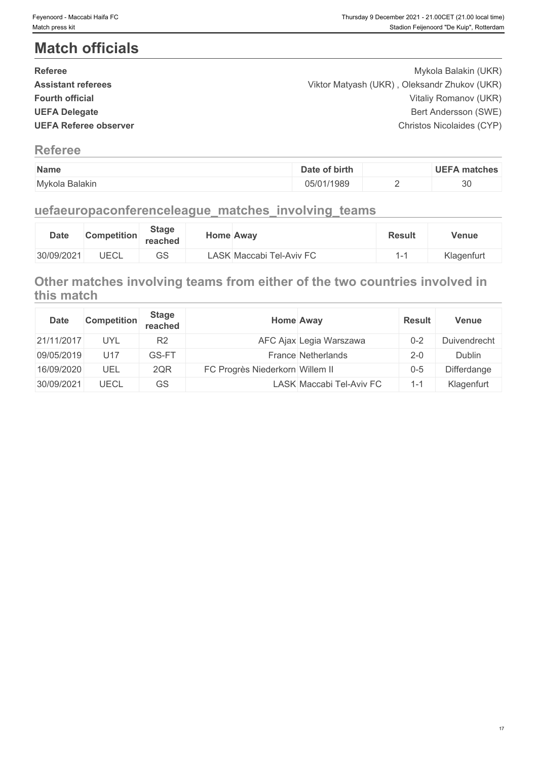# **Match officials**

| <b>Referee</b>               | Mykola Balakin (UKR)                         |  |
|------------------------------|----------------------------------------------|--|
| <b>Assistant referees</b>    | Viktor Matyash (UKR), Oleksandr Zhukov (UKR) |  |
| <b>Fourth official</b>       | Vitaliy Romanov (UKR)                        |  |
| <b>UEFA Delegate</b>         | Bert Andersson (SWE)                         |  |
| <b>UEFA Referee observer</b> | Christos Nicolaides (CYP)                    |  |
|                              |                                              |  |

## **Referee**

| Name                | Date of birth | HE E.<br>matches |
|---------------------|---------------|------------------|
| Mvkola<br>ı Balakin | 05/01/1989    | $\sim$<br>ບບ     |

# **uefaeuropaconferenceleague\_matches\_involving\_teams**

| <b>Date</b> | <b>Competition</b> | <b>Stage</b><br>reached |                 | Home Awav           | <b>Result</b> | Venue      |
|-------------|--------------------|-------------------------|-----------------|---------------------|---------------|------------|
| 30/09/2021  | JECL               | $\cap$<br>دی            | $\mathsf{LASK}$ | Maccabi Tel-Aviv FC |               | Klagenfurt |

## **Other matches involving teams from either of the two countries involved in this match**

| <b>Date</b> | <b>Competition</b> | <b>Stage</b><br>reached | Home Away                       |                          | <b>Result</b>                    | <b>Venue</b> |
|-------------|--------------------|-------------------------|---------------------------------|--------------------------|----------------------------------|--------------|
| 21/11/2017  | <b>UYL</b>         | R <sub>2</sub>          |                                 | AFC Ajax Legia Warszawa  | $0 - 2$                          | Duivendrecht |
| 09/05/2019  | U <sub>17</sub>    | GS-FT                   |                                 | France Netherlands       | $2 - 0$                          | Dublin       |
| 16/09/2020  | UEL                | 2QR                     | FC Progrès Niederkorn Willem II |                          | $0 - 5$                          | Differdange  |
| 30/09/2021  | UECL               | <b>GS</b>               |                                 | LASK Maccabi Tel-Aviv FC | - 1<br>$\mathbf{I} - \mathbf{I}$ | Klagenfurt   |